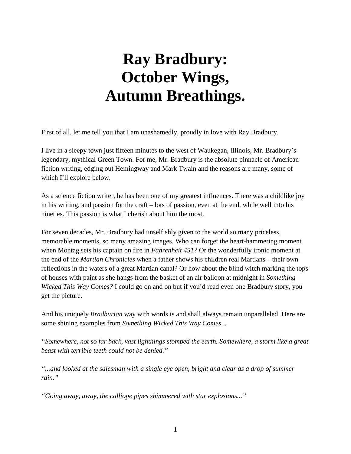## **Ray Bradbury: October Wings, Autumn Breathings.**

First of all, let me tell you that I am unashamedly, proudly in love with Ray Bradbury.

I live in a sleepy town just fifteen minutes to the west of Waukegan, Illinois, Mr. Bradbury's legendary, mythical Green Town. For me, Mr. Bradbury is the absolute pinnacle of American fiction writing, edging out Hemingway and Mark Twain and the reasons are many, some of which I'll explore below.

As a science fiction writer, he has been one of my greatest influences. There was a childlike joy in his writing, and passion for the craft – lots of passion, even at the end, while well into his nineties. This passion is what I cherish about him the most.

For seven decades, Mr. Bradbury had unselfishly given to the world so many priceless, memorable moments, so many amazing images. Who can forget the heart-hammering moment when Montag sets his captain on fire in *Fahrenheit 451?* Or the wonderfully ironic moment at the end of the *Martian Chronicles* when a father shows his children real Martians – their own reflections in the waters of a great Martian canal? Or how about the blind witch marking the tops of houses with paint as she hangs from the basket of an air balloon at midnight in *Something Wicked This Way Comes?* I could go on and on but if you'd read even one Bradbury story, you get the picture.

And his uniquely *Bradburian* way with words is and shall always remain unparalleled. Here are some shining examples from *Something Wicked This Way Comes*...

*"Somewhere, not so far back, vast lightnings stomped the earth. Somewhere, a storm like a great beast with terrible teeth could not be denied."*

*"...and looked at the salesman with a single eye open, bright and clear as a drop of summer rain."*

*"Going away, away, the calliope pipes shimmered with star explosions..."*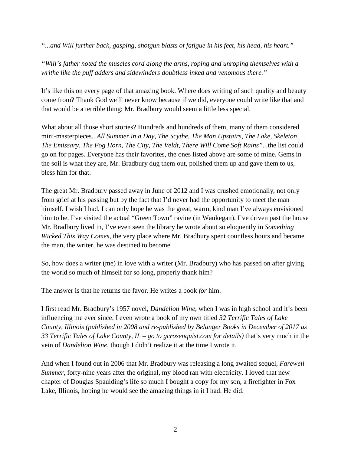*"...and Will further back, gasping, shotgun blasts of fatigue in his feet, his head, his heart."*

*"Will's father noted the muscles cord along the arms, roping and unroping themselves with a writhe like the puff adders and sidewinders doubtless inked and venomous there."*

It's like this on every page of that amazing book. Where does writing of such quality and beauty come from? Thank God we'll never know because if we did, everyone could write like that and that would be a terrible thing; Mr. Bradbury would seem a little less special.

What about all those short stories? Hundreds and hundreds of them, many of them considered mini-masterpieces...*All Summer in a Day, The Scythe, The Man Upstairs, The Lake, Skeleton, The Emissary, The Fog Horn, The City, The Veldt, There Will Come Soft Rains"...*the list could go on for pages. Everyone has their favorites, the ones listed above are some of mine. Gems in the soil is what they are, Mr. Bradbury dug them out, polished them up and gave them to us, bless him for that.

The great Mr. Bradbury passed away in June of 2012 and I was crushed emotionally, not only from grief at his passing but by the fact that I'd never had the opportunity to meet the man himself. I wish I had. I can only hope he was the great, warm, kind man I've always envisioned him to be. I've visited the actual "Green Town" ravine (in Waukegan), I've driven past the house Mr. Bradbury lived in, I've even seen the library he wrote about so eloquently in *Something Wicked This Way Comes,* the very place where Mr. Bradbury spent countless hours and became the man, the writer, he was destined to become.

So, how does a writer (me) in love with a writer (Mr. Bradbury) who has passed on after giving the world so much of himself for so long, properly thank him?

The answer is that he returns the favor. He writes a book *for* him.

I first read Mr. Bradbury's 1957 novel, *Dandelion Wine*, when I was in high school and it's been influencing me ever since. I even wrote a book of my own titled *32 Terrific Tales of Lake County, Illinois (published in 2008 and re-published by Belanger Books in December of 2017 as 33 Terrific Tales of Lake County, IL – go to gcrosenquist.com for details)* that's very much in the vein of *Dandelion Wine,* though I didn't realize it at the time I wrote it.

And when I found out in 2006 that Mr. Bradbury was releasing a long awaited sequel, *Farewell Summer,* forty-nine years after the original, my blood ran with electricity. I loved that new chapter of Douglas Spaulding's life so much I bought a copy for my son, a firefighter in Fox Lake, Illinois, hoping he would see the amazing things in it I had. He did.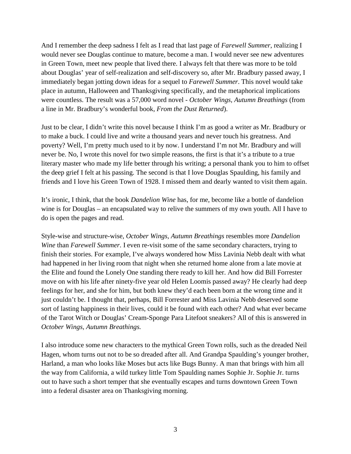And I remember the deep sadness I felt as I read that last page of *Farewell Summer*, realizing I would never see Douglas continue to mature, become a man. I would never see new adventures in Green Town, meet new people that lived there. I always felt that there was more to be told about Douglas' year of self-realization and self-discovery so, after Mr. Bradbury passed away, I immediately began jotting down ideas for a sequel to *Farewell Summer*. This novel would take place in autumn, Halloween and Thanksgiving specifically, and the metaphorical implications were countless. The result was a 57,000 word novel - *October Wings, Autumn Breathings* (from a line in Mr. Bradbury's wonderful book, *From the Dust Returned*).

Just to be clear, I didn't write this novel because I think I'm as good a writer as Mr. Bradbury or to make a buck. I could live and write a thousand years and never touch his greatness. And poverty? Well, I'm pretty much used to it by now. I understand I'm not Mr. Bradbury and will never be. No, I wrote this novel for two simple reasons, the first is that it's a tribute to a true literary master who made my life better through his writing; a personal thank you to him to offset the deep grief I felt at his passing. The second is that I love Douglas Spaulding, his family and friends and I love his Green Town of 1928. I missed them and dearly wanted to visit them again.

It's ironic, I think, that the book *Dandelion Wine* has, for me, become like a bottle of dandelion wine is for Douglas – an encapsulated way to relive the summers of my own youth. All I have to do is open the pages and read.

Style-wise and structure-wise, *October Wings, Autumn Breathings* resembles more *Dandelion Wine* than *Farewell Summer*. I even re-visit some of the same secondary characters, trying to finish their stories. For example, I've always wondered how Miss Lavinia Nebb dealt with what had happened in her living room that night when she returned home alone from a late movie at the Elite and found the Lonely One standing there ready to kill her. And how did Bill Forrester move on with his life after ninety-five year old Helen Loomis passed away? He clearly had deep feelings for her, and she for him, but both knew they'd each been born at the wrong time and it just couldn't be. I thought that, perhaps, Bill Forrester and Miss Lavinia Nebb deserved some sort of lasting happiness in their lives, could it be found with each other? And what ever became of the Tarot Witch or Douglas' Cream-Sponge Para Litefoot sneakers? All of this is answered in *October Wings, Autumn Breathings.*

I also introduce some new characters to the mythical Green Town rolls, such as the dreaded Neil Hagen, whom turns out not to be so dreaded after all. And Grandpa Spaulding's younger brother, Harland, a man who looks like Moses but acts like Bugs Bunny. A man that brings with him all the way from California, a wild turkey little Tom Spaulding names Sophie Jr. Sophie Jr. turns out to have such a short temper that she eventually escapes and turns downtown Green Town into a federal disaster area on Thanksgiving morning.